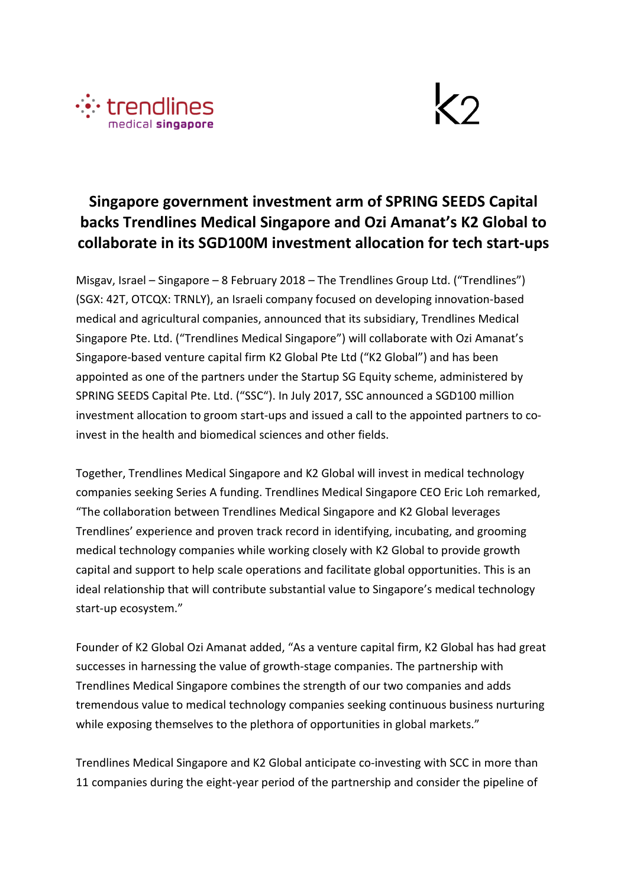



# **Singapore government investment arm of SPRING SEEDS Capital backs Trendlines Medical Singapore and Ozi Amanat's K2 Global to collaborate in its SGD100M investment allocation for tech start-ups**

Misgav, Israel – Singapore – 8 February 2018 – The Trendlines Group Ltd. ("Trendlines") (SGX: 42T, OTCQX: TRNLY), an Israeli company focused on developing innovation-based medical and agricultural companies, announced that its subsidiary, Trendlines Medical Singapore Pte. Ltd. ("Trendlines Medical Singapore") will collaborate with Ozi Amanat's Singapore-based venture capital firm K2 Global Pte Ltd ("K2 Global") and has been appointed as one of the partners under the Startup SG Equity scheme, administered by SPRING SEEDS Capital Pte. Ltd. ("SSC"). In July 2017, SSC announced a SGD100 million investment allocation to groom start-ups and issued a call to the appointed partners to coinvest in the health and biomedical sciences and other fields.

Together, Trendlines Medical Singapore and K2 Global will invest in medical technology companies seeking Series A funding. Trendlines Medical Singapore CEO Eric Loh remarked, "The collaboration between Trendlines Medical Singapore and K2 Global leverages Trendlines' experience and proven track record in identifying, incubating, and grooming medical technology companies while working closely with K2 Global to provide growth capital and support to help scale operations and facilitate global opportunities. This is an ideal relationship that will contribute substantial value to Singapore's medical technology start-up ecosystem."

Founder of K2 Global Ozi Amanat added, "As a venture capital firm, K2 Global has had great successes in harnessing the value of growth-stage companies. The partnership with Trendlines Medical Singapore combines the strength of our two companies and adds tremendous value to medical technology companies seeking continuous business nurturing while exposing themselves to the plethora of opportunities in global markets."

Trendlines Medical Singapore and K2 Global anticipate co-investing with SCC in more than 11 companies during the eight-year period of the partnership and consider the pipeline of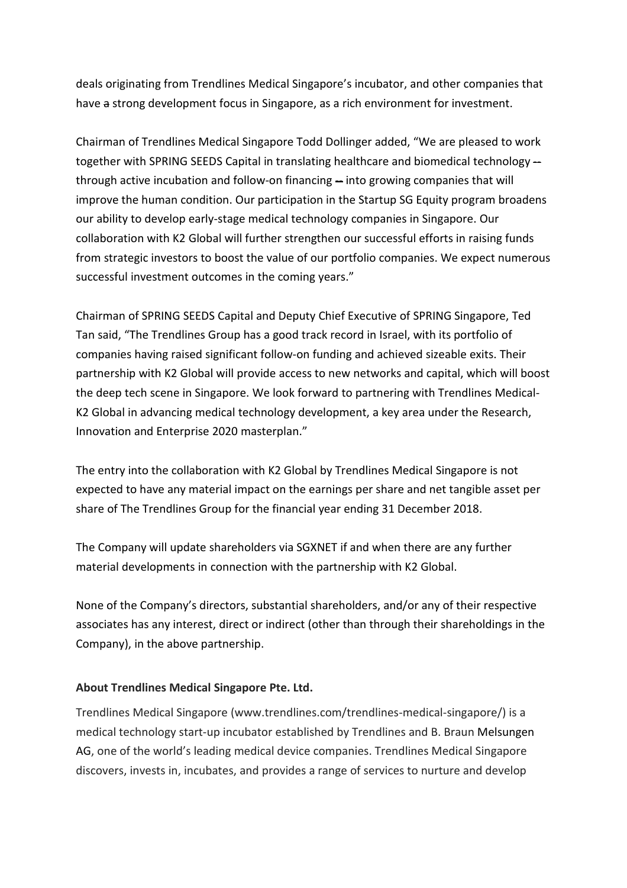deals originating from Trendlines Medical Singapore's incubator, and other companies that have a strong development focus in Singapore, as a rich environment for investment.

Chairman of Trendlines Medical Singapore Todd Dollinger added, "We are pleased to work together with SPRING SEEDS Capital in translating healthcare and biomedical technology through active incubation and follow-on financing – into growing companies that will improve the human condition. Our participation in the Startup SG Equity program broadens our ability to develop early-stage medical technology companies in Singapore. Our collaboration with K2 Global will further strengthen our successful efforts in raising funds from strategic investors to boost the value of our portfolio companies. We expect numerous successful investment outcomes in the coming years."

Chairman of SPRING SEEDS Capital and Deputy Chief Executive of SPRING Singapore, Ted Tan said, "The Trendlines Group has a good track record in Israel, with its portfolio of companies having raised significant follow-on funding and achieved sizeable exits. Their partnership with K2 Global will provide access to new networks and capital, which will boost the deep tech scene in Singapore. We look forward to partnering with Trendlines Medical-K2 Global in advancing medical technology development, a key area under the Research, Innovation and Enterprise 2020 masterplan."

The entry into the collaboration with K2 Global by Trendlines Medical Singapore is not expected to have any material impact on the earnings per share and net tangible asset per share of The Trendlines Group for the financial year ending 31 December 2018.

The Company will update shareholders via SGXNET if and when there are any further material developments in connection with the partnership with K2 Global.

None of the Company's directors, substantial shareholders, and/or any of their respective associates has any interest, direct or indirect (other than through their shareholdings in the Company), in the above partnership.

#### **About Trendlines Medical Singapore Pte. Ltd.**

Trendlines Medical Singapore (www.trendlines.com/trendlines-medical-singapore/) is a medical technology start-up incubator established by Trendlines and B. Braun Melsungen AG, one of the world's leading medical device companies. Trendlines Medical Singapore discovers, invests in, incubates, and provides a range of services to nurture and develop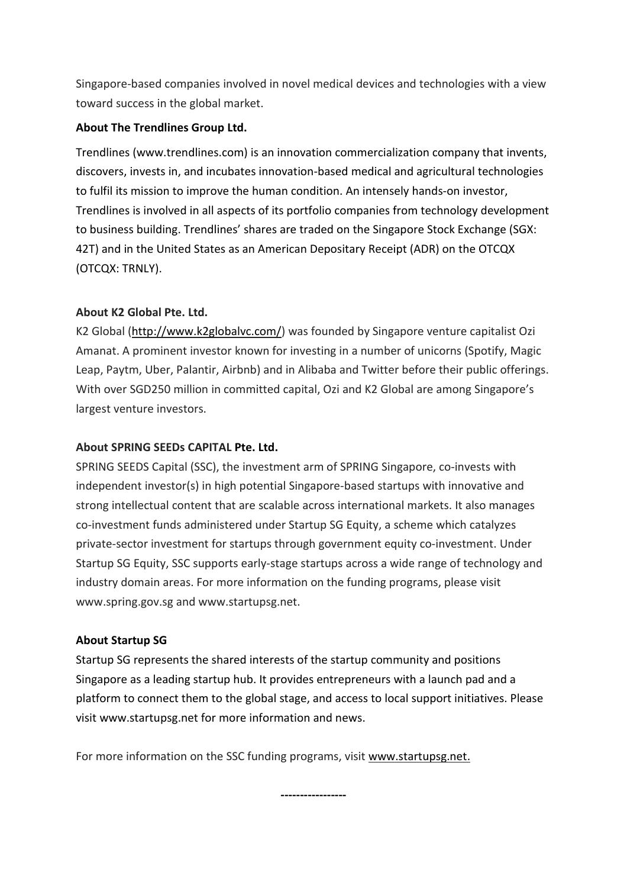Singapore-based companies involved in novel medical devices and technologies with a view toward success in the global market.

#### **About The Trendlines Group Ltd.**

Trendlines (www.trendlines.com) is an innovation commercialization company that invents, discovers, invests in, and incubates innovation-based medical and agricultural technologies to fulfil its mission to improve the human condition. An intensely hands-on investor, Trendlines is involved in all aspects of its portfolio companies from technology development to business building. Trendlines' shares are traded on the Singapore Stock Exchange (SGX: 42T) and in the United States as an American Depositary Receipt (ADR) on the OTCQX (OTCQX: TRNLY).

## **About K2 Global Pte. Ltd.**

K2 Global [\(http://www.k2globalvc.com/\)](http://www.k2globalvc.com/) was founded by Singapore venture capitalist Ozi Amanat. A prominent investor known for investing in a number of unicorns (Spotify, Magic Leap, Paytm, Uber, Palantir, Airbnb) and in Alibaba and Twitter before their public offerings. With over SGD250 million in committed capital, Ozi and K2 Global are among Singapore's largest venture investors.

### **About SPRING SEEDs CAPITAL Pte. Ltd.**

SPRING SEEDS Capital (SSC), the investment arm of SPRING Singapore, co-invests with independent investor(s) in high potential Singapore-based startups with innovative and strong intellectual content that are scalable across international markets. It also manages co-investment funds administered under Startup SG Equity, a scheme which catalyzes private-sector investment for startups through government equity co-investment. Under Startup SG Equity, SSC supports early-stage startups across a wide range of technology and industry domain areas. For more information on the funding programs, please visit www.spring.gov.sg and www.startupsg.net.

## **About Startup SG**

Startup SG represents the shared interests of the startup community and positions Singapore as a leading startup hub. It provides entrepreneurs with a launch pad and a platform to connect them to the global stage, and access to local support initiatives. Please visit www.startupsg.net for more information and news.

For more information on the SSC funding programs, visit [www.startupsg.net.](http://www.startupsg.net/)

**-----------------**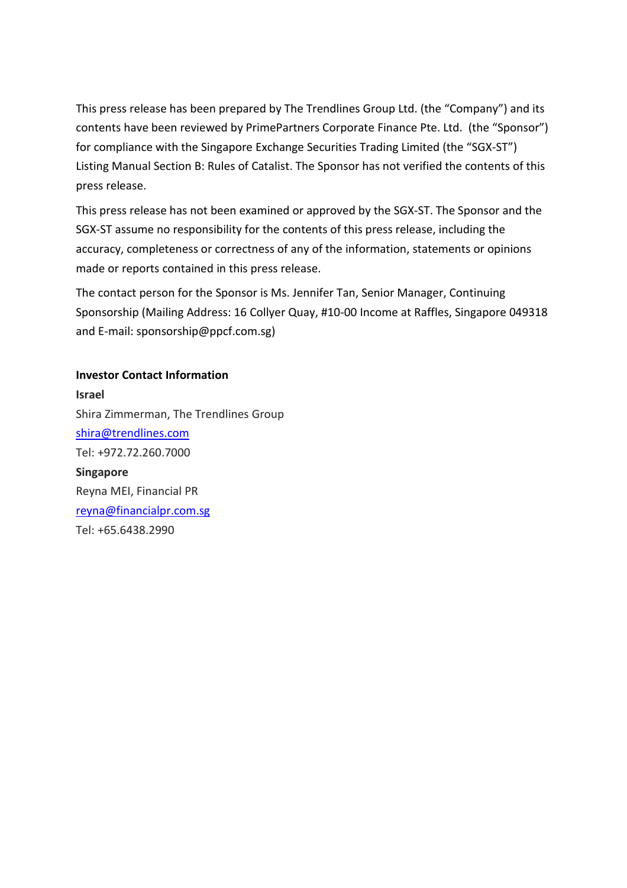This press release has been prepared by The Trendlines Group Ltd. (the "Company") and its contents have been reviewed by PrimePartners Corporate Finance Pte. Ltd. (the "Sponsor") for compliance with the Singapore Exchange Securities Trading Limited (the "SGX-ST") Listing Manual Section B: Rules of Catalist. The Sponsor has not verified the contents of this press release.

This press release has not been examined or approved by the SGX-ST. The Sponsor and the SGX-ST assume no responsibility for the contents of this press release, including the accuracy, completeness or correctness of any of the information, statements or opinions made or reports contained in this press release.

The contact person for the Sponsor is Ms. Jennifer Tan, Senior Manager, Continuing Sponsorship (Mailing Address: 16 Collyer Quay, #10-00 Income at Raffles, Singapore 049318 and E-mail: sponsorship@ppcf.com.sg)

**Investor Contact Information Israel** Shira Zimmerman, The Trendlines Group [shira@trendlines.com](mailto:shira@trendlines.com) Tel: +972.72.260.7000 **Singapore** Reyna MEI, Financial PR [reyna@financialpr.com.sg](mailto:reyna@financialpr.com.sg) Tel: +65.6438.2990